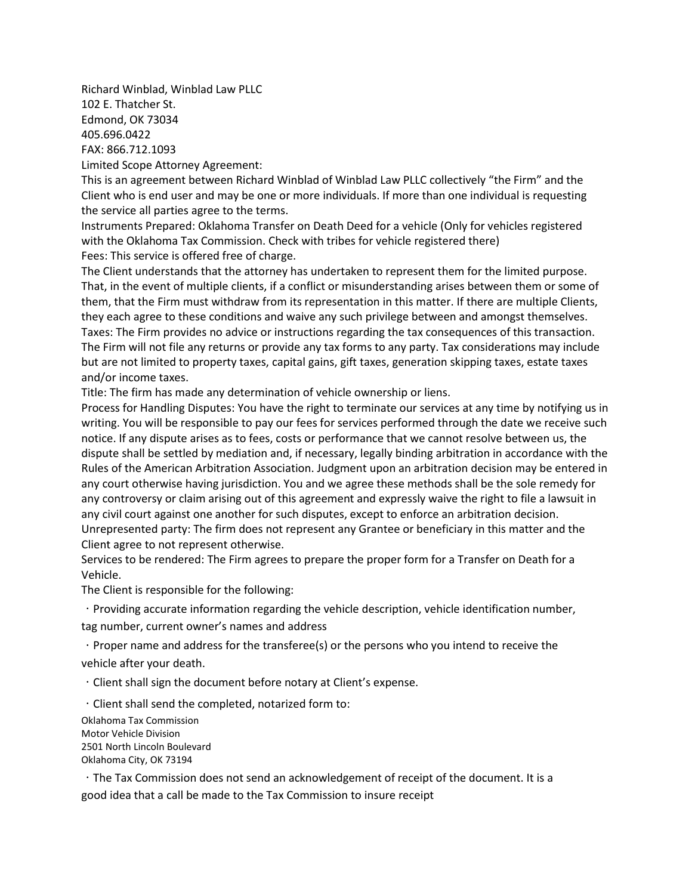Richard Winblad, Winblad Law PLLC 102 E. Thatcher St. Edmond, OK 73034 405.696.0422 FAX: 866.712.1093 Limited Scope Attorney Agreement:

This is an agreement between Richard Winblad of Winblad Law PLLC collectively "the Firm" and the Client who is end user and may be one or more individuals. If more than one individual is requesting the service all parties agree to the terms.

Instruments Prepared: Oklahoma Transfer on Death Deed for a vehicle (Only for vehicles registered with the Oklahoma Tax Commission. Check with tribes for vehicle registered there) Fees: This service is offered free of charge.

The Client understands that the attorney has undertaken to represent them for the limited purpose. That, in the event of multiple clients, if a conflict or misunderstanding arises between them or some of them, that the Firm must withdraw from its representation in this matter. If there are multiple Clients, they each agree to these conditions and waive any such privilege between and amongst themselves. Taxes: The Firm provides no advice or instructions regarding the tax consequences of this transaction. The Firm will not file any returns or provide any tax forms to any party. Tax considerations may include but are not limited to property taxes, capital gains, gift taxes, generation skipping taxes, estate taxes and/or income taxes.

Title: The firm has made any determination of vehicle ownership or liens.

Process for Handling Disputes: You have the right to terminate our services at any time by notifying us in writing. You will be responsible to pay our fees for services performed through the date we receive such notice. If any dispute arises as to fees, costs or performance that we cannot resolve between us, the dispute shall be settled by mediation and, if necessary, legally binding arbitration in accordance with the Rules of the American Arbitration Association. Judgment upon an arbitration decision may be entered in any court otherwise having jurisdiction. You and we agree these methods shall be the sole remedy for any controversy or claim arising out of this agreement and expressly waive the right to file a lawsuit in any civil court against one another for such disputes, except to enforce an arbitration decision. Unrepresented party: The firm does not represent any Grantee or beneficiary in this matter and the Client agree to not represent otherwise.

Services to be rendered: The Firm agrees to prepare the proper form for a Transfer on Death for a Vehicle.

The Client is responsible for the following:

Providing accurate information regarding the vehicle description, vehicle identification number,

tag number, current owner's names and address

 $\cdot$  Proper name and address for the transferee(s) or the persons who you intend to receive the vehicle after your death.

Client shall sign the document before notary at Client's expense.

 $\cdot$  Client shall send the completed, notarized form to:

Oklahoma Tax Commission Motor Vehicle Division 2501 North Lincoln Boulevard Oklahoma City, OK 73194

The Tax Commission does not send an acknowledgement of receipt of the document. It is a good idea that a call be made to the Tax Commission to insure receipt